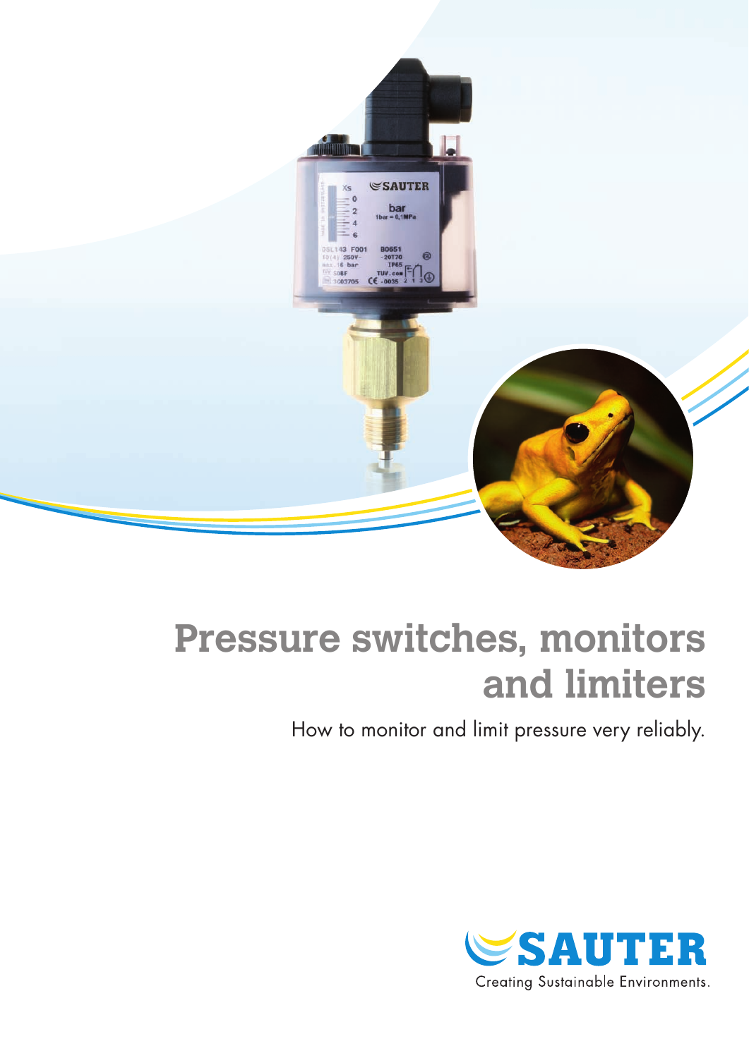

# **Pressure switches, monitors and limiters**

How to monitor and limit pressure very reliably.

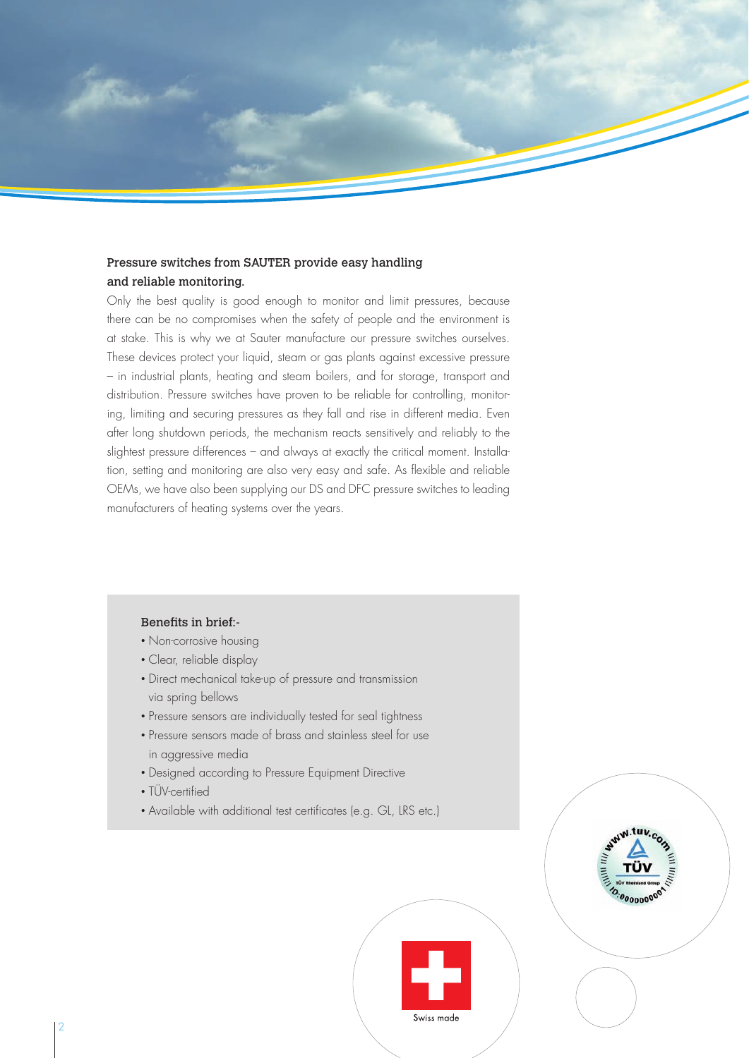### Pressure switches from SAUTER provide easy handling and reliable monitoring.

Only the best quality is good enough to monitor and limit pressures, because there can be no compromises when the safety of people and the environment is at stake. This is why we at Sauter manufacture our pressure switches ourselves. These devices protect your liquid, steam or gas plants against excessive pressure – in industrial plants, heating and steam boilers, and for storage, transport and distribution. Pressure switches have proven to be reliable for controlling, monitoring, limiting and securing pressures as they fall and rise in different media. Even after long shutdown periods, the mechanism reacts sensitively and reliably to the slightest pressure differences – and always at exactly the critical moment. Installation, setting and monitoring are also very easy and safe. As flexible and reliable OEMs, we have also been supplying our DS and DFC pressure switches to leading manufacturers of heating systems over the years.

#### Benefits in brief:-

- Non-corrosive housing
- • Clear, reliable display
- Direct mechanical take-up of pressure and transmission via spring bellows
- Pressure sensors are individually tested for seal tightness
- Pressure sensors made of brass and stainless steel for use in aggressive media
- Designed according to Pressure Equipment Directive
- TÜV-certified
- Available with additional test certificates (e.g. GL, LRS etc.)



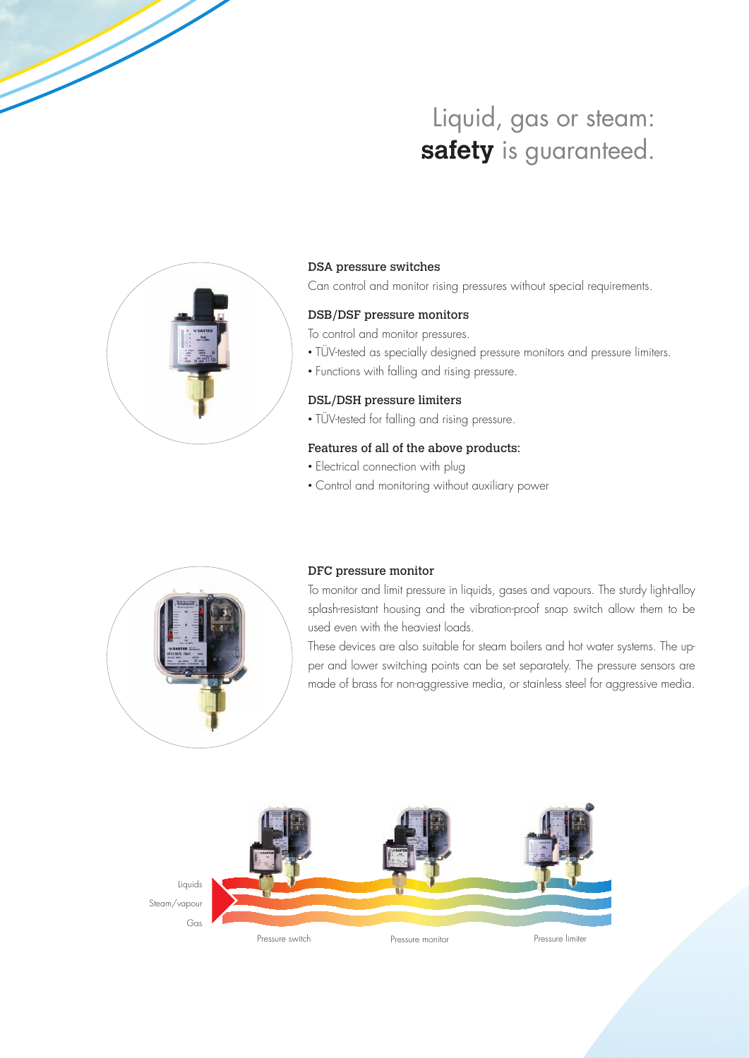# Liquid, gas or steam: safety is guaranteed.



#### DSA pressure switches

Can control and monitor rising pressures without special requirements.

#### DSB/DSF pressure monitors

To control and monitor pressures.

- TÜV-tested as specially designed pressure monitors and pressure limiters.
- Functions with falling and rising pressure.

#### DSL/DSH pressure limiters

• TÜV-tested for falling and rising pressure.

#### Features of all of the above products:

- Electrical connection with plug
- • Control and monitoring without auxiliary power



#### DFC pressure monitor

To monitor and limit pressure in liquids, gases and vapours. The sturdy light-alloy splash-resistant housing and the vibration-proof snap switch allow them to be used even with the heaviest loads.

These devices are also suitable for steam boilers and hot water systems. The upper and lower switching points can be set separately. The pressure sensors are made of brass for non-aggressive media, or stainless steel for aggressive media.

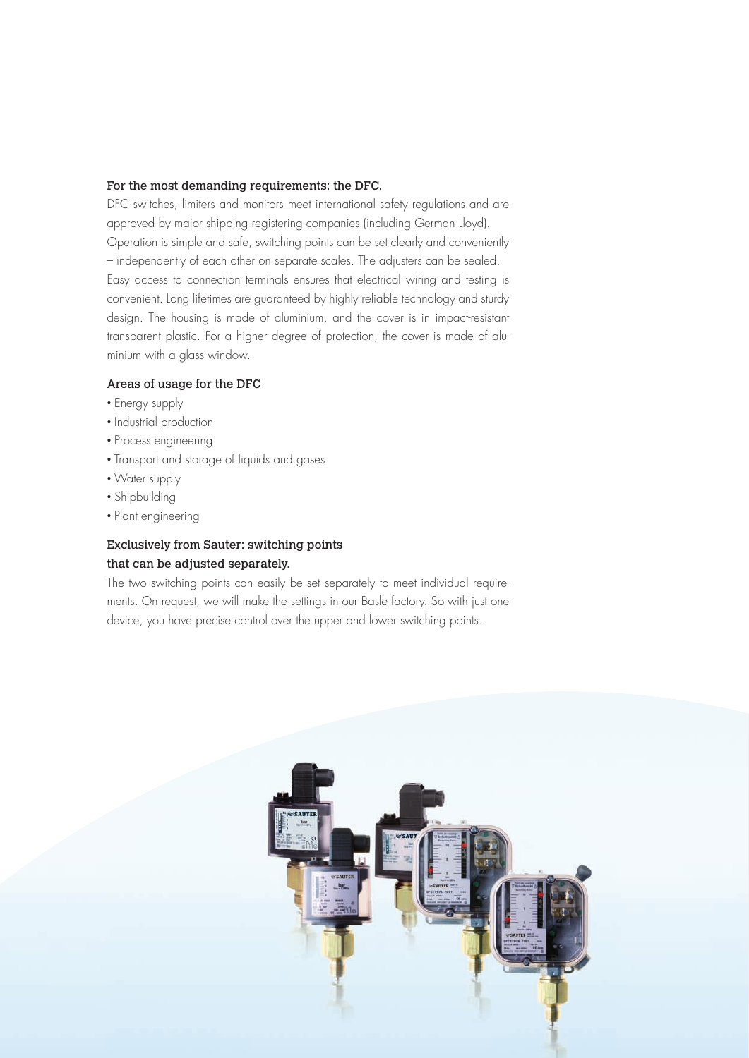#### For the most demanding requirements: the DFC.

DFC switches, limiters and monitors meet international safety regulations and are approved by major shipping registering companies (including German Lloyd). Operation is simple and safe, switching points can be set clearly and conveniently – independently of each other on separate scales. The adjusters can be sealed. Easy access to connection terminals ensures that electrical wiring and testing is convenient. Long lifetimes are guaranteed by highly reliable technology and sturdy design. The housing is made of aluminium, and the cover is in impact-resistant transparent plastic. For a higher degree of protection, the cover is made of aluminium with a glass window.

#### Areas of usage for the DFC

- Energy supply
- Industrial production
- Process engineering
- Transport and storage of liquids and gases
- Water supply
- Shipbuilding
- Plant engineering

## Exclusively from Sauter: switching points that can be adjusted separately.

The two switching points can easily be set separately to meet individual requirements. On request, we will make the settings in our Basle factory. So with just one device, you have precise control over the upper and lower switching points.

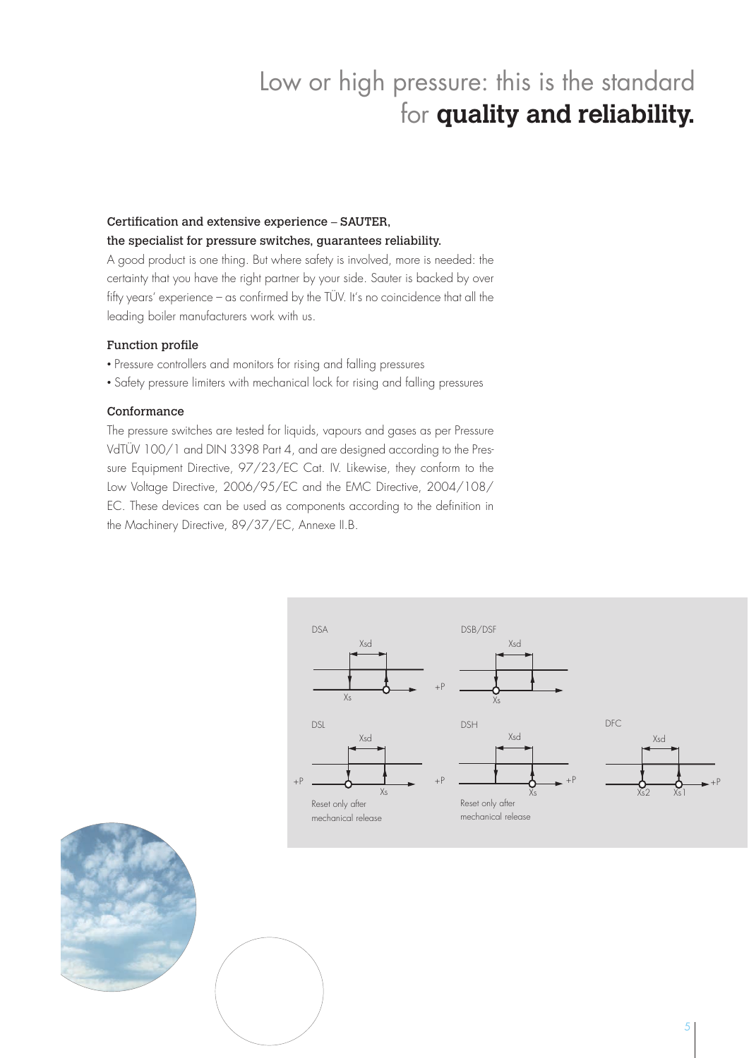# Low or high pressure: this is the standard for **quality and reliability.**

# Certification and extensive experience – SAUTER,

### the specialist for pressure switches, guarantees reliability.

A good product is one thing. But where safety is involved, more is needed: the certainty that you have the right partner by your side. Sauter is backed by over fifty years' experience – as confirmed by the TÜV. It's no coincidence that all the leading boiler manufacturers work with us.

#### Function profile

- Pressure controllers and monitors for rising and falling pressures
- Safety pressure limiters with mechanical lock for rising and falling pressures

#### Conformance

The pressure switches are tested for liquids, vapours and gases as per Pressure VdTÜV 100/1 and DIN 3398 Part 4, and are designed according to the Pressure Equipment Directive, 97/23/EC Cat. IV. Likewise, they conform to the Low Voltage Directive, 2006/95/EC and the EMC Directive, 2004/108/ EC. These devices can be used as components according to the definition in the Machinery Directive, 89/37/EC, Annexe II.B.